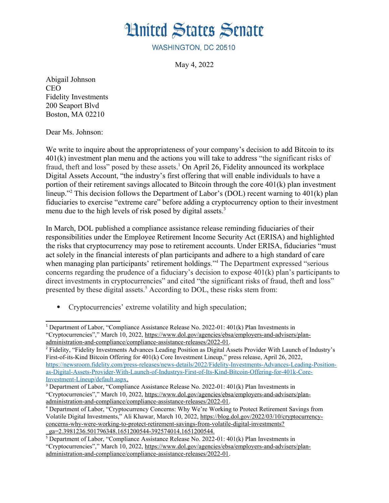

WASHINGTON, DC 20510

<span id="page-0-4"></span><span id="page-0-0"></span>May 4, 2022

Abigail Johnson CEO Fidelity Investments 200 Seaport Blvd Boston, MA 02210

Dear Ms. Johnson:

We write to inquire about the appropriateness of your company's decision to add Bitcoin to its 401(k) investment plan menu and the actions you will take to address "the significant risks of fraud, theft and loss" posed by these assets.<sup>[1](#page-0-1)</sup> On April 26, Fidelity announced its workplace Digital Assets Account, "the industry's first offering that will enable individuals to have a portion of their retirement savings allocated to Bitcoin through the core 401(k) plan investment lineup."[2](#page-0-3) This decision follows the Department of Labor's (DOL) recent warning to 401(k) plan fiduciaries to exercise "extreme care" before adding a cryptocurrency option to their investment menu due to the high levels of risk posed by digital assets.<sup>[3](#page-0-5)</sup>

<span id="page-0-2"></span>In March, DOL published a compliance assistance release reminding fiduciaries of their responsibilities under the Employee Retirement Income Security Act (ERISA) and highlighted the risks that cryptocurrency may pose to retirement accounts. Under ERISA, fiduciaries "must act solely in the financial interests of plan participants and adhere to a high standard of care when managing plan participants' retirement holdings."[4](#page-0-7) The Department expressed "serious concerns regarding the prudence of a fiduciary's decision to expose 401(k) plan's participants to direct investments in cryptocurrencies" and cited "the significant risks of fraud, theft and loss" presented by these digital assets.<sup>[5](#page-0-9)</sup> According to DOL, these risks stem from:

<span id="page-0-8"></span><span id="page-0-6"></span>Cryptocurrencies' extreme volatility and high speculation;

<span id="page-0-1"></span><sup>&</sup>lt;sup>[1](#page-0-0)</sup> Department of Labor, "Compliance Assistance Release No. 2022-01: 401(k) Plan Investments in "Cryptocurrencies"," March 10, 2022, [https://www.dol.gov/agencies/ebsa/employers-and-advisers/plan](https://www.dol.gov/agencies/ebsa/employers-and-advisers/plan-administration-and-compliance/compliance-assistance-releases/2022-01)[administration-and-compliance/compliance-assistance-releases/2022-01](https://www.dol.gov/agencies/ebsa/employers-and-advisers/plan-administration-and-compliance/compliance-assistance-releases/2022-01).

<span id="page-0-3"></span>[<sup>2</sup>](#page-0-2) Fidelity, "Fidelity Investments Advances Leading Position as Digital Assets Provider With Launch of Industry's First-of-its-Kind Bitcoin Offering for 401(k) Core Investment Lineup," press release, April 26, 2022, [https://newsroom.fidelity.com/press-releases/news-details/2022/Fidelity-Investments-Advances-Leading-Position](https://newsroom.fidelity.com/press-releases/news-details/2022/Fidelity-Investments-Advances-Leading-Position-as-Digital-Assets-Provider-With-Launch-of-Industrys-First-of-Its-Kind-Bitcoin-Offering-for-401k-Core-Investment-Lineup/default.aspx)[as-Digital-Assets-Provider-With-Launch-of-Industrys-First-of-Its-Kind-Bitcoin-Offering-for-401k-Core-](https://newsroom.fidelity.com/press-releases/news-details/2022/Fidelity-Investments-Advances-Leading-Position-as-Digital-Assets-Provider-With-Launch-of-Industrys-First-of-Its-Kind-Bitcoin-Offering-for-401k-Core-Investment-Lineup/default.aspx)  [Investment-Lineup/default.aspx.](https://newsroom.fidelity.com/press-releases/news-details/2022/Fidelity-Investments-Advances-Leading-Position-as-Digital-Assets-Provider-With-Launch-of-Industrys-First-of-Its-Kind-Bitcoin-Offering-for-401k-Core-Investment-Lineup/default.aspx)

<span id="page-0-5"></span><sup>&</sup>lt;sup>[3](#page-0-4)</sup> Department of Labor, "Compliance Assistance Release No. 2022-01: 401(k) Plan Investments in

<sup>&</sup>quot;Cryptocurrencies"," March 10, 2022, [https://www.dol.gov/agencies/ebsa/employers-and-advisers/plan](https://www.dol.gov/agencies/ebsa/employers-and-advisers/plan-administration-and-compliance/compliance-assistance-releases/2022-01)[administration-and-compliance/compliance-assistance-releases/2022-01](https://www.dol.gov/agencies/ebsa/employers-and-advisers/plan-administration-and-compliance/compliance-assistance-releases/2022-01).

<span id="page-0-7"></span>[<sup>4</sup>](#page-0-6) Department of Labor, "Cryptocurrency Concerns: Why We're Working to Protect Retirement Savings from Volatile Digital Investments," Ali Khawar, March 10, 2022, [https://blog.dol.gov/2022/03/10/cryptocurrency](https://blog.dol.gov/2022/03/10/cryptocurrency-concerns-why-were-working-to-protect-retirement-savings-from-volatile-digital-investments?_ga=2.3981236.501796348.1651200544-392574014.1651200544.%20)[concerns-why-were-working-to-protect-retirement-savings-from-volatile-digital-investments?](https://blog.dol.gov/2022/03/10/cryptocurrency-concerns-why-were-working-to-protect-retirement-savings-from-volatile-digital-investments?_ga=2.3981236.501796348.1651200544-392574014.1651200544.%20) [\\_ga=2.3981236.501796348.1651200544-392574014.1651200544.](https://blog.dol.gov/2022/03/10/cryptocurrency-concerns-why-were-working-to-protect-retirement-savings-from-volatile-digital-investments?_ga=2.3981236.501796348.1651200544-392574014.1651200544.%20) [5](#page-0-8) Department of Labor, "Compliance Assistance Release No. 2022-01: 401(k) Plan Investments in

<span id="page-0-9"></span>

<sup>&</sup>quot;Cryptocurrencies"," March 10, 2022, [https://www.dol.gov/agencies/ebsa/employers-and-advisers/plan](https://www.dol.gov/agencies/ebsa/employers-and-advisers/plan-administration-and-compliance/compliance-assistance-releases/2022-01)[administration-and-compliance/compliance-assistance-releases/2022-01](https://www.dol.gov/agencies/ebsa/employers-and-advisers/plan-administration-and-compliance/compliance-assistance-releases/2022-01).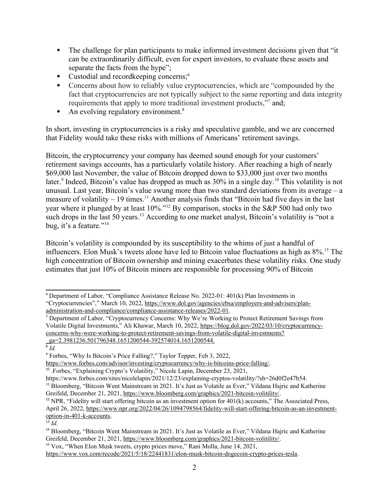- The challenge for plan participants to make informed investment decisions given that "it can be extraordinarily difficult, even for expert investors, to evaluate these assets and separate the facts from the hype";
- <span id="page-1-0"></span>Custodial and recordkeeping concerns;<sup>[6](#page-1-1)</sup>
- Concerns about how to reliably value cryptocurrencies, which are "compounded by the fact that cryptocurrencies are not typically subject to the same reporting and data integrity requirements that apply to more traditional investment products.<sup>"[7](#page-1-3)</sup> and:
- <span id="page-1-8"></span><span id="page-1-4"></span><span id="page-1-2"></span>• An evolving regulatory environment. $8$

In short, investing in cryptocurrencies is a risky and speculative gamble, and we are concerned that Fidelity would take these risks with millions of Americans' retirement savings.

<span id="page-1-6"></span>Bitcoin, the cryptocurrency your company has deemed sound enough for your customers' retirement savings accounts, has a particularly volatile history. After reaching a high of nearly \$69,000 last November, the value of Bitcoin dropped down to \$33,000 just over two months later.<sup>[9](#page-1-7)</sup> Indeed. Bitcoin's value has dropped as much as 30% in a single day.<sup>[10](#page-1-9)</sup> This volatility is not unusual. Last year, Bitcoin's value swung more than two standard deviations from its average  $-a$ measure of volatility  $-19$  times.<sup>[11](#page-1-11)</sup> Another analysis finds that "Bitcoin had five days in the last year where it plunged by at least 10%."[12](#page-1-13) By comparison, stocks in the S&P 500 had only two such drops in the last 50 years.<sup>[13](#page-1-15)</sup> According to one market analyst, Bitcoin's volatility is "not a bug, it's a feature."[14](#page-1-17)

<span id="page-1-18"></span><span id="page-1-16"></span><span id="page-1-14"></span><span id="page-1-12"></span><span id="page-1-10"></span>Bitcoin's volatility is compounded by its susceptibility to the whims of just a handful of influencers. Elon Musk's tweets alone have led to Bitcoin value fluctuations as high as 8%.[15](#page-1-19) The high concentration of Bitcoin ownership and mining exacerbates these volatility risks. One study estimates that just 10% of Bitcoin miners are responsible for processing 90% of Bitcoin

<span id="page-1-19"></span>[15](#page-1-18) Vox, "When Elon Musk tweets, crypto prices move," Rani Molla, June 14, 2021,

<span id="page-1-1"></span>[<sup>6</sup>](#page-1-0) Department of Labor, "Compliance Assistance Release No. 2022-01: 401(k) Plan Investments in "Cryptocurrencies"," March 10, 2022, [https://www.dol.gov/agencies/ebsa/employers-and-advisers/plan](https://www.dol.gov/agencies/ebsa/employers-and-advisers/plan-administration-and-compliance/compliance-assistance-releases/2022-01)[administration-and-compliance/compliance-assistance-releases/2022-01](https://www.dol.gov/agencies/ebsa/employers-and-advisers/plan-administration-and-compliance/compliance-assistance-releases/2022-01).

<span id="page-1-3"></span>[<sup>7</sup>](#page-1-2) Department of Labor, "Cryptocurrency Concerns: Why We're Working to Protect Retirement Savings from Volatile Digital Investments," Ali Khawar, March 10, 2022, [https://blog.dol.gov/2022/03/10/cryptocurrency](https://blog.dol.gov/2022/03/10/cryptocurrency-concerns-why-were-working-to-protect-retirement-savings-from-volatile-digital-investments?_ga=2.3981236.501796348.1651200544-392574014.1651200544.%20)[concerns-why-were-working-to-protect-retirement-savings-from-volatile-digital-investments?](https://blog.dol.gov/2022/03/10/cryptocurrency-concerns-why-were-working-to-protect-retirement-savings-from-volatile-digital-investments?_ga=2.3981236.501796348.1651200544-392574014.1651200544.%20) [\\_ga=2.3981236.501796348.1651200544-392574014.1651200544.](https://blog.dol.gov/2022/03/10/cryptocurrency-concerns-why-were-working-to-protect-retirement-savings-from-volatile-digital-investments?_ga=2.3981236.501796348.1651200544-392574014.1651200544.%20) [8](#page-1-4) *Id.*

<span id="page-1-5"></span>

<span id="page-1-7"></span><sup>&</sup>lt;sup>[9](#page-1-6)</sup> Forbes, "Why Is Bitcoin's Price Falling?," Taylor Tepper, Feb 3, 2022,

<https://www.forbes.com/advisor/investing/cryptocurrency/why-is-bitcoins-price-falling/>.

<span id="page-1-9"></span><sup>&</sup>lt;sup>[10](#page-1-8)</sup> Forbes, "Explaining Crypto's Volatility," Nicole Lapin, December 23, 2021,

https://www.forbes.com/sites/nicolelapin/2021/12/23/explaining-cryptos-volatility/?sh=26d0f2e47b54.

<span id="page-1-11"></span>[<sup>11</sup>](#page-1-10) Bloomberg, "Bitcoin Went Mainstream in 2021. It's Just as Volatile as Ever," Vildana Hajric and Katherine Greifeld, December 21, 2021,<https://www.bloomberg.com/graphics/2021-bitcoin-volitility/>.

<span id="page-1-13"></span><sup>&</sup>lt;sup>[12](#page-1-12)</sup> NPR, "Fidelity will start offering bitcoin as an investment option for  $401(k)$  accounts," The Associated Press, April 26, 2022, [https://www.npr.org/2022/04/26/1094798564/fidelity-will-start-offering-bitcoin-as-an-investment](https://www.npr.org/2022/04/26/1094798564/fidelity-will-start-offering-bitcoin-as-an-investment-option-in-401-k-accounts)[option-in-401-k-accounts.](https://www.npr.org/2022/04/26/1094798564/fidelity-will-start-offering-bitcoin-as-an-investment-option-in-401-k-accounts)

<span id="page-1-15"></span> $^{13}$  $^{13}$  $^{13}$  *Id.* 

<span id="page-1-17"></span>[<sup>14</sup>](#page-1-16) Bloomberg, "Bitcoin Went Mainstream in 2021. It's Just as Volatile as Ever," Vildana Hajric and Katherine Greifeld, December 21, 2021,<https://www.bloomberg.com/graphics/2021-bitcoin-volitility/>.

<https://www.vox.com/recode/2021/5/18/22441831/elon-musk-bitcoin-dogecoin-crypto-prices-tesla>.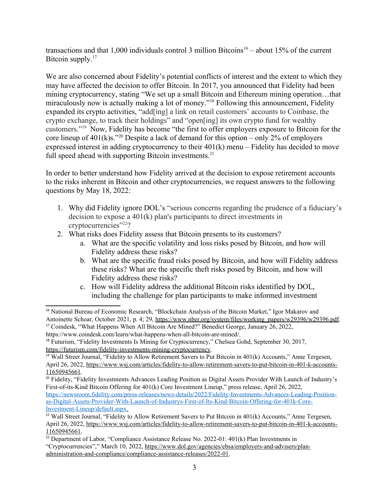<span id="page-2-2"></span><span id="page-2-0"></span>transactions and that 1,000 individuals control 3 million Bitcoins<sup>[16](#page-2-1)</sup> – about 15% of the current Bitcoin supply.<sup>[17](#page-2-3)</sup>

<span id="page-2-4"></span>We are also concerned about Fidelity's potential conflicts of interest and the extent to which they may have affected the decision to offer Bitcoin. In 2017, you announced that Fidelity had been mining cryptocurrency, stating "We set up a small Bitcoin and Ethereum mining operation…that miraculously now is actually making a lot of money."<sup>[18](#page-2-5)</sup> Following this announcement, Fidelity expanded its crypto activities, "add[ing] a link on retail customers' accounts to Coinbase, the crypto exchange, to track their holdings" and "open[ing] its own crypto fund for wealthy customers."[19](#page-2-7) Now, Fidelity has become "the first to offer employers exposure to Bitcoin for the core lineup of  $401(k)s$ ."<sup>[20](#page-2-9)</sup> Despite a lack of demand for this option – only 2% of employers expressed interest in adding cryptocurrency to their 401(k) menu – Fidelity has decided to move full speed ahead with supporting Bitcoin investments.<sup>[21](#page-2-11)</sup>

<span id="page-2-8"></span><span id="page-2-6"></span>In order to better understand how Fidelity arrived at the decision to expose retirement accounts to the risks inherent in Bitcoin and other cryptocurrencies, we request answers to the following questions by May 18, 2022:

- <span id="page-2-10"></span>1. Why did Fidelity ignore DOL's "serious concerns regarding the prudence of a fiduciary's decision to expose a 401(k) plan's participants to direct investments in cryptocurrencies"[22](#page-2-13)?
- <span id="page-2-12"></span>2. What risks does Fidelity assess that Bitcoin presents to its customers?
	- a. What are the specific volatility and loss risks posed by Bitcoin, and how will Fidelity address these risks?
	- b. What are the specific fraud risks posed by Bitcoin, and how will Fidelity address these risks? What are the specific theft risks posed by Bitcoin, and how will Fidelity address these risks?
	- c. How will Fidelity address the additional Bitcoin risks identified by DOL, including the challenge for plan participants to make informed investment

<span id="page-2-1"></span><sup>&</sup>lt;sup>[16](#page-2-0)</sup> National Bureau of Economic Research, "Blockchain Analysis of the Bitcoin Market," Igor Makarov and Antoinette Schoar, October 2021, p. 4; 29, [https://www.nber.org/system/files/working\\_papers/w29396/w29396.pdf.](https://www.nber.org/system/files/working_papers/w29396/w29396.pdf)

<span id="page-2-3"></span><sup>&</sup>lt;sup>[17](#page-2-2)</sup> Coindesk, "What Happens When All Bitcoin Are Mined?" Benedict George, January 26, 2022, https://www.coindesk.com/learn/what-happens-when-all-bitcoin-are-mined/.

<span id="page-2-5"></span><sup>&</sup>lt;sup>[18](#page-2-4)</sup> Futurism, "Fidelity Investments Is Mining for Cryptocurrency," Chelsea Gohd, September 30, 2017, [https://futurism.com/fidelity-investments-mining-cryptocurrency.](https://futurism.com/fidelity-investments-mining-cryptocurrency)

<span id="page-2-7"></span><sup>&</sup>lt;sup>[19](#page-2-6)</sup> Wall Street Journal, "Fidelity to Allow Retirement Savers to Put Bitcoin in  $401(k)$  Accounts," Anne Tergesen, April 26, 2022, [https://www.wsj.com/articles/fidelity-to-allow-retirement-savers-to-put-bitcoin-in-401-k-accounts-](https://www.wsj.com/articles/fidelity-to-allow-retirement-savers-to-put-bitcoin-in-401-k-accounts-11650945661)[11650945661](https://www.wsj.com/articles/fidelity-to-allow-retirement-savers-to-put-bitcoin-in-401-k-accounts-11650945661).

<span id="page-2-9"></span><sup>&</sup>lt;sup>[20](#page-2-8)</sup> Fidelity, "Fidelity Investments Advances Leading Position as Digital Assets Provider With Launch of Industry's First-of-its-Kind Bitcoin Offering for 401(k) Core Investment Lineup," press release, April 26, 2022, [https://newsroom.fidelity.com/press-releases/news-details/2022/Fidelity-Investments-Advances-Leading-Position](https://newsroom.fidelity.com/press-releases/news-details/2022/Fidelity-Investments-Advances-Leading-Position-as-Digital-Assets-Provider-With-Launch-of-Industrys-First-of-Its-Kind-Bitcoin-Offering-for-401k-Core-Investment-Lineup/default.aspx)[as-Digital-Assets-Provider-With-Launch-of-Industrys-First-of-Its-Kind-Bitcoin-Offering-for-401k-Core-](https://newsroom.fidelity.com/press-releases/news-details/2022/Fidelity-Investments-Advances-Leading-Position-as-Digital-Assets-Provider-With-Launch-of-Industrys-First-of-Its-Kind-Bitcoin-Offering-for-401k-Core-Investment-Lineup/default.aspx)  [Investment-Lineup/default.aspx.](https://newsroom.fidelity.com/press-releases/news-details/2022/Fidelity-Investments-Advances-Leading-Position-as-Digital-Assets-Provider-With-Launch-of-Industrys-First-of-Its-Kind-Bitcoin-Offering-for-401k-Core-Investment-Lineup/default.aspx)

<span id="page-2-11"></span><sup>&</sup>lt;sup>[21](#page-2-10)</sup> Wall Street Journal, "Fidelity to Allow Retirement Savers to Put Bitcoin in  $401(k)$  Accounts," Anne Tergesen, April 26, 2022, [https://www.wsj.com/articles/fidelity-to-allow-retirement-savers-to-put-bitcoin-in-401-k-accounts-](https://www.wsj.com/articles/fidelity-to-allow-retirement-savers-to-put-bitcoin-in-401-k-accounts-11650945661)[11650945661](https://www.wsj.com/articles/fidelity-to-allow-retirement-savers-to-put-bitcoin-in-401-k-accounts-11650945661).

<span id="page-2-13"></span><sup>&</sup>lt;sup>[22](#page-2-12)</sup> Department of Labor, "Compliance Assistance Release No. 2022-01:  $401(k)$  Plan Investments in "Cryptocurrencies"," March 10, 2022, [https://www.dol.gov/agencies/ebsa/employers-and-advisers/plan](https://www.dol.gov/agencies/ebsa/employers-and-advisers/plan-administration-and-compliance/compliance-assistance-releases/2022-01)[administration-and-compliance/compliance-assistance-releases/2022-01](https://www.dol.gov/agencies/ebsa/employers-and-advisers/plan-administration-and-compliance/compliance-assistance-releases/2022-01).